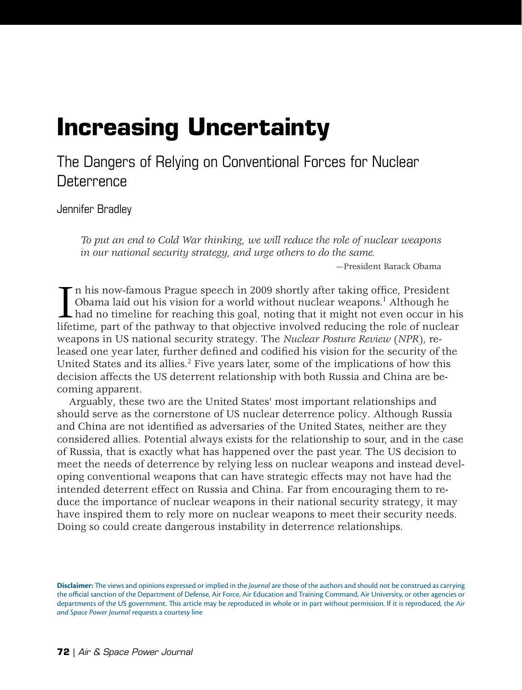# **Increasing Uncertainty**

The Dangers of Relying on Conventional Forces for Nuclear **Deterrence** 

[Jennifer Bradley](#page-11-0)

*To put an end to Cold War thinking, we will reduce the role of nuclear weapons in our national security strategy, and urge others to do the same.*

—President Barack Obama

 $\prod_{\text{lift}}$ n his now-famous Prague speech in 2009 shortly after taking office, President Obama laid out his vision for a world without nuclear weapons.<sup>1</sup> Although he had no timeline for reaching this goal, noting that it might not even occur in his lifetime, part of the pathway to that objective involved reducing the role of nuclear weapons in US national security strategy. The *Nuclear Posture Review* (*NPR*), released one year later, further defined and codified his vision for the security of the United States and its allies. $2$  Five years later, some of the implications of how this decision affects the US deterrent relationship with both Russia and China are becoming apparent.

Arguably, these two are the United States' most important relationships and should serve as the cornerstone of US nuclear deterrence policy. Although Russia and China are not identified as adversaries of the United States, neither are they considered allies. Potential always exists for the relationship to sour, and in the case of Russia, that is exactly what has happened over the past year. The US decision to meet the needs of deterrence by relying less on nuclear weapons and instead developing conventional weapons that can have strategic effects may not have had the intended deterrent effect on Russia and China. Far from encouraging them to reduce the importance of nuclear weapons in their national security strategy, it may have inspired them to rely more on nuclear weapons to meet their security needs. Doing so could create dangerous instability in deterrence relationships.

**Disclaimer:** The views and opinions expressed or implied in the *Journal* are those of the authors and should not be construed as carrying the official sanction of the Department of Defense, Air Force, Air Education and Training Command, Air University, or other agencies or departments of the US government. This article may be reproduced in whole or in part without permission. If it is reproduced, the *Air and Space Power Journal* requests a courtesy line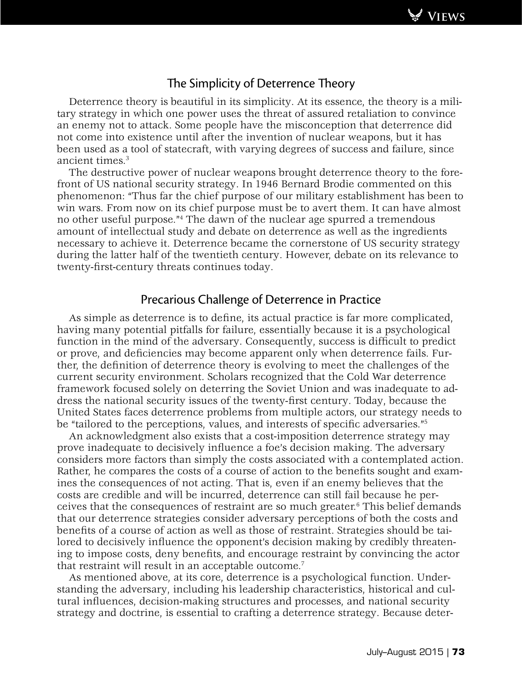

# The Simplicity of Deterrence Theory

Deterrence theory is beautiful in its simplicity. At its essence, the theory is a military strategy in which one power uses the threat of assured retaliation to convince an enemy not to attack. Some people have the misconception that deterrence did not come into existence until after the invention of nuclear weapons, but it has been used as a tool of statecraft, with varying degrees of success and failure, since ancient times.<sup>3</sup>

The destructive power of nuclear weapons brought deterrence theory to the forefront of US national security strategy. In 1946 Bernard Brodie commented on this phenomenon: "Thus far the chief purpose of our military establishment has been to win wars. From now on its chief purpose must be to avert them. It can have almost no other useful purpose."4 The dawn of the nuclear age spurred a tremendous amount of intellectual study and debate on deterrence as well as the ingredients necessary to achieve it. Deterrence became the cornerstone of US security strategy during the latter half of the twentieth century. However, debate on its relevance to twenty-first-century threats continues today.

## Precarious Challenge of Deterrence in Practice

As simple as deterrence is to define, its actual practice is far more complicated, having many potential pitfalls for failure, essentially because it is a psychological function in the mind of the adversary. Consequently, success is difficult to predict or prove, and deficiencies may become apparent only when deterrence fails. Further, the definition of deterrence theory is evolving to meet the challenges of the current security environment. Scholars recognized that the Cold War deterrence framework focused solely on deterring the Soviet Union and was inadequate to address the national security issues of the twenty-first century. Today, because the United States faces deterrence problems from multiple actors, our strategy needs to be "tailored to the perceptions, values, and interests of specific adversaries."5

An acknowledgment also exists that a cost-imposition deterrence strategy may prove inadequate to decisively influence a foe's decision making. The adversary considers more factors than simply the costs associated with a contemplated action. Rather, he compares the costs of a course of action to the benefits sought and examines the consequences of not acting. That is, even if an enemy believes that the costs are credible and will be incurred, deterrence can still fail because he perceives that the consequences of restraint are so much greater.6 This belief demands that our deterrence strategies consider adversary perceptions of both the costs and benefits of a course of action as well as those of restraint. Strategies should be tailored to decisively influence the opponent's decision making by credibly threatening to impose costs, deny benefits, and encourage restraint by convincing the actor that restraint will result in an acceptable outcome.7

As mentioned above, at its core, deterrence is a psychological function. Understanding the adversary, including his leadership characteristics, historical and cultural influences, decision-making structures and processes, and national security strategy and doctrine, is essential to crafting a deterrence strategy. Because deter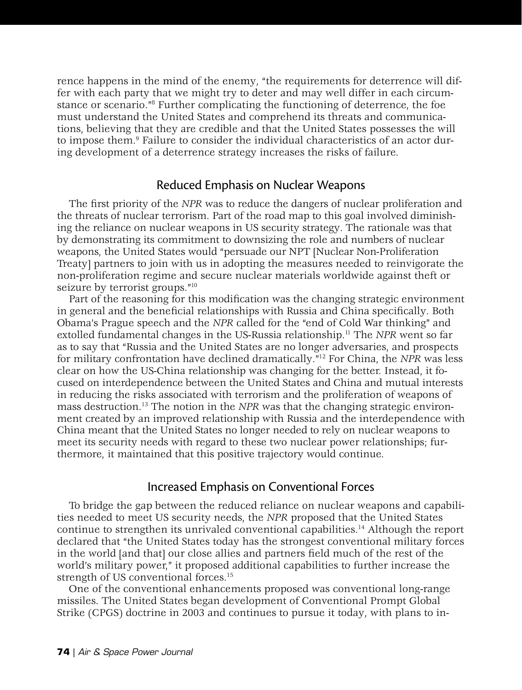rence happens in the mind of the enemy, "the requirements for deterrence will differ with each party that we might try to deter and may well differ in each circumstance or scenario."8 Further complicating the functioning of deterrence, the foe must understand the United States and comprehend its threats and communications, believing that they are credible and that the United States possesses the will to impose them.<sup>9</sup> Failure to consider the individual characteristics of an actor during development of a deterrence strategy increases the risks of failure.

## Reduced Emphasis on Nuclear Weapons

The first priority of the *NPR* was to reduce the dangers of nuclear proliferation and the threats of nuclear terrorism. Part of the road map to this goal involved diminishing the reliance on nuclear weapons in US security strategy. The rationale was that by demonstrating its commitment to downsizing the role and numbers of nuclear weapons, the United States would "persuade our NPT [Nuclear Non-Proliferation Treaty] partners to join with us in adopting the measures needed to reinvigorate the non-proliferation regime and secure nuclear materials worldwide against theft or seizure by terrorist groups."<sup>10</sup>

Part of the reasoning for this modification was the changing strategic environment in general and the beneficial relationships with Russia and China specifically. Both Obama's Prague speech and the *NPR* called for the "end of Cold War thinking" and extolled fundamental changes in the US-Russia relationship.11 The *NPR* went so far as to say that "Russia and the United States are no longer adversaries, and prospects for military confrontation have declined dramatically."12 For China, the *NPR* was less clear on how the US-China relationship was changing for the better. Instead, it focused on interdependence between the United States and China and mutual interests in reducing the risks associated with terrorism and the proliferation of weapons of mass destruction.13 The notion in the *NPR* was that the changing strategic environment created by an improved relationship with Russia and the interdependence with China meant that the United States no longer needed to rely on nuclear weapons to meet its security needs with regard to these two nuclear power relationships; furthermore, it maintained that this positive trajectory would continue.

## Increased Emphasis on Conventional Forces

To bridge the gap between the reduced reliance on nuclear weapons and capabilities needed to meet US security needs, the *NPR* proposed that the United States continue to strengthen its unrivaled conventional capabilities.14 Although the report declared that "the United States today has the strongest conventional military forces in the world [and that] our close allies and partners field much of the rest of the world's military power," it proposed additional capabilities to further increase the strength of US conventional forces.<sup>15</sup>

One of the conventional enhancements proposed was conventional long-range missiles. The United States began development of Conventional Prompt Global Strike (CPGS) doctrine in 2003 and continues to pursue it today, with plans to in-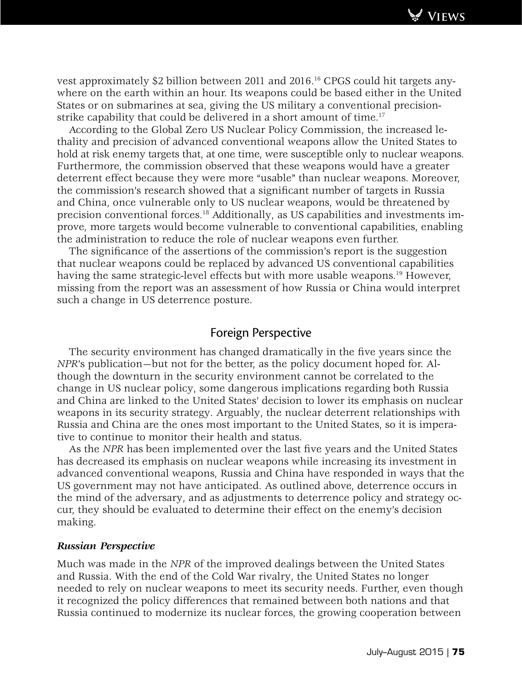

vest approximately \$2 billion between 2011 and 2016.16 CPGS could hit targets anywhere on the earth within an hour. Its weapons could be based either in the United States or on submarines at sea, giving the US military a conventional precisionstrike capability that could be delivered in a short amount of time.<sup>17</sup>

According to the Global Zero US Nuclear Policy Commission, the increased lethality and precision of advanced conventional weapons allow the United States to hold at risk enemy targets that, at one time, were susceptible only to nuclear weapons. Furthermore, the commission observed that these weapons would have a greater deterrent effect because they were more "usable" than nuclear weapons. Moreover, the commission's research showed that a significant number of targets in Russia and China, once vulnerable only to US nuclear weapons, would be threatened by precision conventional forces.18 Additionally, as US capabilities and investments improve, more targets would become vulnerable to conventional capabilities, enabling the administration to reduce the role of nuclear weapons even further.

The significance of the assertions of the commission's report is the suggestion that nuclear weapons could be replaced by advanced US conventional capabilities having the same strategic-level effects but with more usable weapons.<sup>19</sup> However, missing from the report was an assessment of how Russia or China would interpret such a change in US deterrence posture.

## Foreign Perspective

The security environment has changed dramatically in the five years since the *NPR*'s publication—but not for the better, as the policy document hoped for. Although the downturn in the security environment cannot be correlated to the change in US nuclear policy, some dangerous implications regarding both Russia and China are linked to the United States' decision to lower its emphasis on nuclear weapons in its security strategy. Arguably, the nuclear deterrent relationships with Russia and China are the ones most important to the United States, so it is imperative to continue to monitor their health and status.

As the *NPR* has been implemented over the last five years and the United States has decreased its emphasis on nuclear weapons while increasing its investment in advanced conventional weapons, Russia and China have responded in ways that the US government may not have anticipated. As outlined above, deterrence occurs in the mind of the adversary, and as adjustments to deterrence policy and strategy occur, they should be evaluated to determine their effect on the enemy's decision making.

### *Russian Perspective*

Much was made in the *NPR* of the improved dealings between the United States and Russia. With the end of the Cold War rivalry, the United States no longer needed to rely on nuclear weapons to meet its security needs. Further, even though it recognized the policy differences that remained between both nations and that Russia continued to modernize its nuclear forces, the growing cooperation between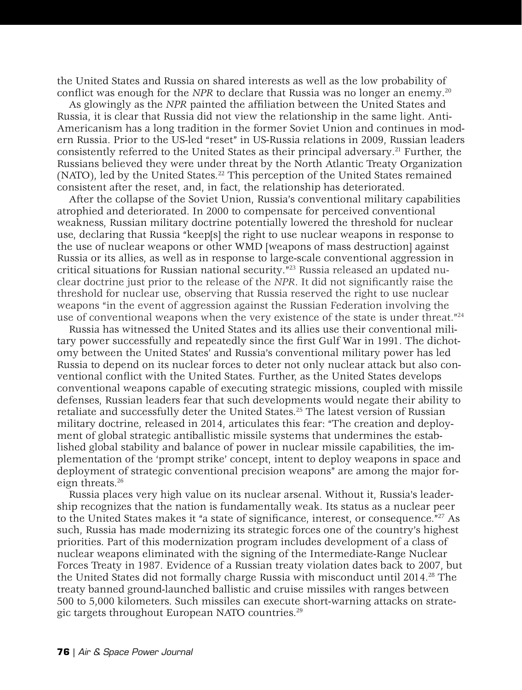the United States and Russia on shared interests as well as the low probability of conflict was enough for the *NPR* to declare that Russia was no longer an enemy.<sup>20</sup>

As glowingly as the *NPR* painted the affiliation between the United States and Russia, it is clear that Russia did not view the relationship in the same light. Anti-Americanism has a long tradition in the former Soviet Union and continues in modern Russia. Prior to the US-led "reset" in US-Russia relations in 2009, Russian leaders consistently referred to the United States as their principal adversary.21 Further, the Russians believed they were under threat by the North Atlantic Treaty Organization (NATO), led by the United States.22 This perception of the United States remained consistent after the reset, and, in fact, the relationship has deteriorated.

After the collapse of the Soviet Union, Russia's conventional military capabilities atrophied and deteriorated. In 2000 to compensate for perceived conventional weakness, Russian military doctrine potentially lowered the threshold for nuclear use, declaring that Russia "keep[s] the right to use nuclear weapons in response to the use of nuclear weapons or other WMD [weapons of mass destruction] against Russia or its allies, as well as in response to large-scale conventional aggression in critical situations for Russian national security. $^{n_{23}}$  Russia released an updated nuclear doctrine just prior to the release of the *NPR*. It did not significantly raise the threshold for nuclear use, observing that Russia reserved the right to use nuclear weapons "in the event of aggression against the Russian Federation involving the use of conventional weapons when the very existence of the state is under threat."<sup>24</sup>

Russia has witnessed the United States and its allies use their conventional military power successfully and repeatedly since the first Gulf War in 1991. The dichotomy between the United States' and Russia's conventional military power has led Russia to depend on its nuclear forces to deter not only nuclear attack but also conventional conflict with the United States. Further, as the United States develops conventional weapons capable of executing strategic missions, coupled with missile defenses, Russian leaders fear that such developments would negate their ability to retaliate and successfully deter the United States.<sup>25</sup> The latest version of Russian military doctrine, released in 2014, articulates this fear: "The creation and deployment of global strategic antiballistic missile systems that undermines the established global stability and balance of power in nuclear missile capabilities, the implementation of the 'prompt strike' concept, intent to deploy weapons in space and deployment of strategic conventional precision weapons" are among the major foreign threats.<sup>26</sup>

Russia places very high value on its nuclear arsenal. Without it, Russia's leadership recognizes that the nation is fundamentally weak. Its status as a nuclear peer to the United States makes it "a state of significance, interest, or consequence."27 As such, Russia has made modernizing its strategic forces one of the country's highest priorities. Part of this modernization program includes development of a class of nuclear weapons eliminated with the signing of the Intermediate-Range Nuclear Forces Treaty in 1987. Evidence of a Russian treaty violation dates back to 2007, but the United States did not formally charge Russia with misconduct until 2014.<sup>28</sup> The treaty banned ground-launched ballistic and cruise missiles with ranges between 500 to 5,000 kilometers. Such missiles can execute short-warning attacks on strategic targets throughout European NATO countries.29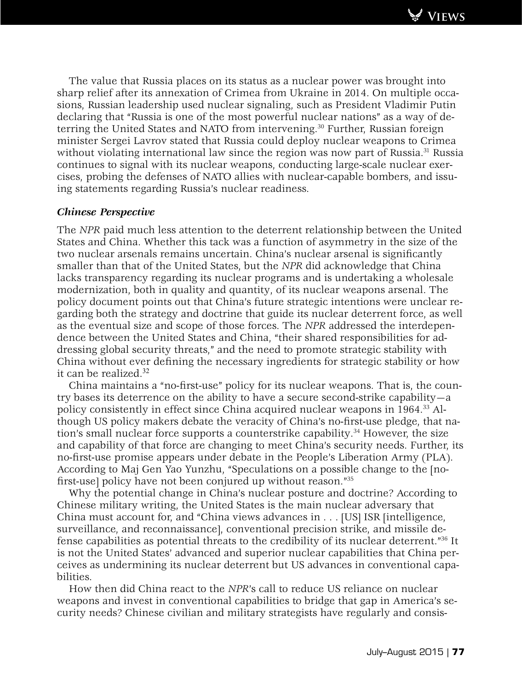The value that Russia places on its status as a nuclear power was brought into sharp relief after its annexation of Crimea from Ukraine in 2014. On multiple occasions, Russian leadership used nuclear signaling, such as President Vladimir Putin declaring that "Russia is one of the most powerful nuclear nations" as a way of deterring the United States and NATO from intervening.<sup>30</sup> Further, Russian foreign minister Sergei Lavrov stated that Russia could deploy nuclear weapons to Crimea without violating international law since the region was now part of Russia.<sup>31</sup> Russia continues to signal with its nuclear weapons, conducting large-scale nuclear exercises, probing the defenses of NATO allies with nuclear-capable bombers, and issuing statements regarding Russia's nuclear readiness.

## *Chinese Perspective*

The *NPR* paid much less attention to the deterrent relationship between the United States and China. Whether this tack was a function of asymmetry in the size of the two nuclear arsenals remains uncertain. China's nuclear arsenal is significantly smaller than that of the United States, but the *NPR* did acknowledge that China lacks transparency regarding its nuclear programs and is undertaking a wholesale modernization, both in quality and quantity, of its nuclear weapons arsenal. The policy document points out that China's future strategic intentions were unclear regarding both the strategy and doctrine that guide its nuclear deterrent force, as well as the eventual size and scope of those forces. The *NPR* addressed the interdependence between the United States and China, "their shared responsibilities for addressing global security threats," and the need to promote strategic stability with China without ever defining the necessary ingredients for strategic stability or how it can be realized.<sup>32</sup>

China maintains a "no-first-use" policy for its nuclear weapons. That is, the country bases its deterrence on the ability to have a secure second-strike capability—a policy consistently in effect since China acquired nuclear weapons in 1964.33 Although US policy makers debate the veracity of China's no-first-use pledge, that nation's small nuclear force supports a counterstrike capability.<sup>34</sup> However, the size and capability of that force are changing to meet China's security needs. Further, its no-first-use promise appears under debate in the People's Liberation Army (PLA). According to Maj Gen Yao Yunzhu, "Speculations on a possible change to the [nofirst-use] policy have not been conjured up without reason."35

Why the potential change in China's nuclear posture and doctrine? According to Chinese military writing, the United States is the main nuclear adversary that China must account for, and "China views advances in . . . [US] ISR [intelligence, surveillance, and reconnaissance], conventional precision strike, and missile defense capabilities as potential threats to the credibility of its nuclear deterrent."36 It is not the United States' advanced and superior nuclear capabilities that China perceives as undermining its nuclear deterrent but US advances in conventional capabilities.

How then did China react to the *NPR*'s call to reduce US reliance on nuclear weapons and invest in conventional capabilities to bridge that gap in America's security needs? Chinese civilian and military strategists have regularly and consis-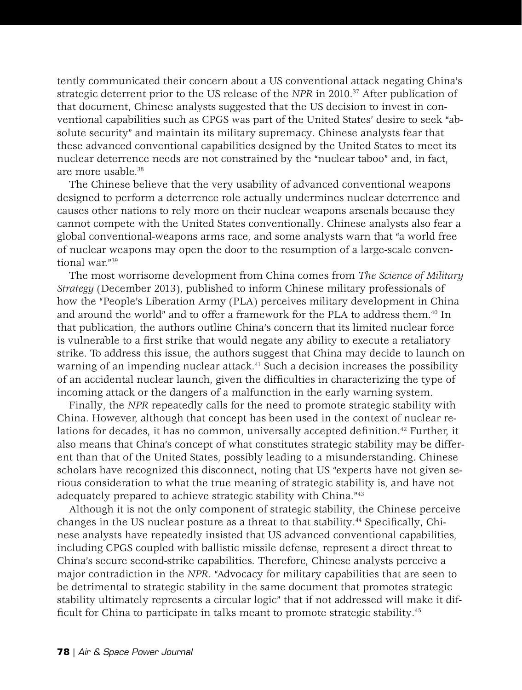tently communicated their concern about a US conventional attack negating China's strategic deterrent prior to the US release of the *NPR* in 2010.37 After publication of that document, Chinese analysts suggested that the US decision to invest in conventional capabilities such as CPGS was part of the United States' desire to seek "absolute security" and maintain its military supremacy. Chinese analysts fear that these advanced conventional capabilities designed by the United States to meet its nuclear deterrence needs are not constrained by the "nuclear taboo" and, in fact, are more usable.38

The Chinese believe that the very usability of advanced conventional weapons designed to perform a deterrence role actually undermines nuclear deterrence and causes other nations to rely more on their nuclear weapons arsenals because they cannot compete with the United States conventionally. Chinese analysts also fear a global conventional-weapons arms race, and some analysts warn that "a world free of nuclear weapons may open the door to the resumption of a large-scale conventional war."39

The most worrisome development from China comes from *The Science of Military Strategy* (December 2013), published to inform Chinese military professionals of how the "People's Liberation Army (PLA) perceives military development in China and around the world" and to offer a framework for the PLA to address them.40 In that publication, the authors outline China's concern that its limited nuclear force is vulnerable to a first strike that would negate any ability to execute a retaliatory strike. To address this issue, the authors suggest that China may decide to launch on warning of an impending nuclear attack.<sup>41</sup> Such a decision increases the possibility of an accidental nuclear launch, given the difficulties in characterizing the type of incoming attack or the dangers of a malfunction in the early warning system.

Finally, the *NPR* repeatedly calls for the need to promote strategic stability with China. However, although that concept has been used in the context of nuclear relations for decades, it has no common, universally accepted definition.42 Further, it also means that China's concept of what constitutes strategic stability may be different than that of the United States, possibly leading to a misunderstanding. Chinese scholars have recognized this disconnect, noting that US "experts have not given serious consideration to what the true meaning of strategic stability is, and have not adequately prepared to achieve strategic stability with China."43

Although it is not the only component of strategic stability, the Chinese perceive changes in the US nuclear posture as a threat to that stability.44 Specifically, Chinese analysts have repeatedly insisted that US advanced conventional capabilities, including CPGS coupled with ballistic missile defense, represent a direct threat to China's secure second-strike capabilities. Therefore, Chinese analysts perceive a major contradiction in the *NPR*. "Advocacy for military capabilities that are seen to be detrimental to strategic stability in the same document that promotes strategic stability ultimately represents a circular logic" that if not addressed will make it difficult for China to participate in talks meant to promote strategic stability.<sup>45</sup>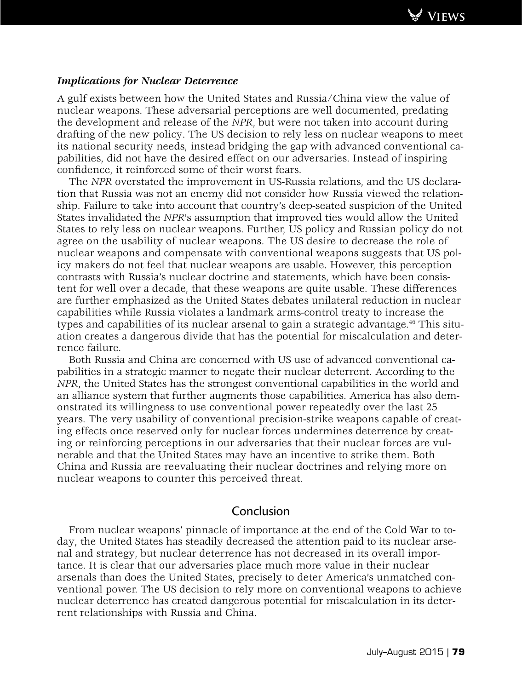

### *Implications for Nuclear Deterrence*

A gulf exists between how the United States and Russia/China view the value of nuclear weapons. These adversarial perceptions are well documented, predating the development and release of the *NPR*, but were not taken into account during drafting of the new policy. The US decision to rely less on nuclear weapons to meet its national security needs, instead bridging the gap with advanced conventional capabilities, did not have the desired effect on our adversaries. Instead of inspiring confidence, it reinforced some of their worst fears.

The *NPR* overstated the improvement in US-Russia relations, and the US declaration that Russia was not an enemy did not consider how Russia viewed the relationship. Failure to take into account that country's deep-seated suspicion of the United States invalidated the *NPR*'s assumption that improved ties would allow the United States to rely less on nuclear weapons. Further, US policy and Russian policy do not agree on the usability of nuclear weapons. The US desire to decrease the role of nuclear weapons and compensate with conventional weapons suggests that US policy makers do not feel that nuclear weapons are usable. However, this perception contrasts with Russia's nuclear doctrine and statements, which have been consistent for well over a decade, that these weapons are quite usable. These differences are further emphasized as the United States debates unilateral reduction in nuclear capabilities while Russia violates a landmark arms-control treaty to increase the types and capabilities of its nuclear arsenal to gain a strategic advantage.<sup>46</sup> This situation creates a dangerous divide that has the potential for miscalculation and deterrence failure.

Both Russia and China are concerned with US use of advanced conventional capabilities in a strategic manner to negate their nuclear deterrent. According to the *NPR*, the United States has the strongest conventional capabilities in the world and an alliance system that further augments those capabilities. America has also demonstrated its willingness to use conventional power repeatedly over the last 25 years. The very usability of conventional precision-strike weapons capable of creating effects once reserved only for nuclear forces undermines deterrence by creating or reinforcing perceptions in our adversaries that their nuclear forces are vulnerable and that the United States may have an incentive to strike them. Both China and Russia are reevaluating their nuclear doctrines and relying more on nuclear weapons to counter this perceived threat.

## Conclusion

From nuclear weapons' pinnacle of importance at the end of the Cold War to today, the United States has steadily decreased the attention paid to its nuclear arsenal and strategy, but nuclear deterrence has not decreased in its overall importance. It is clear that our adversaries place much more value in their nuclear arsenals than does the United States, precisely to deter America's unmatched conventional power. The US decision to rely more on conventional weapons to achieve nuclear deterrence has created dangerous potential for miscalculation in its deterrent relationships with Russia and China.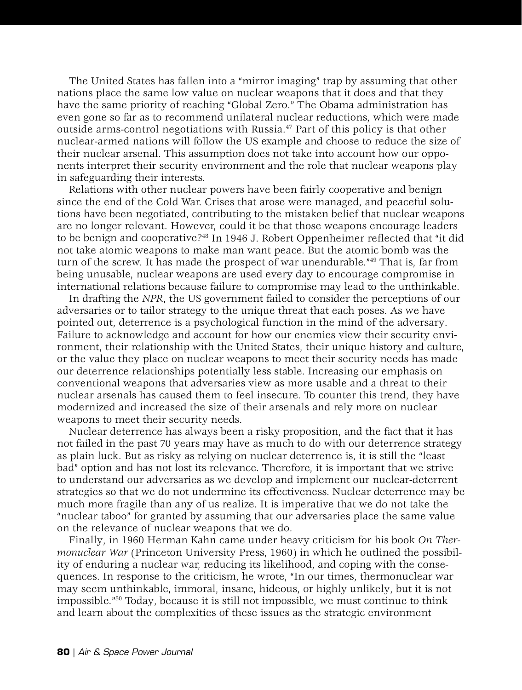The United States has fallen into a "mirror imaging" trap by assuming that other nations place the same low value on nuclear weapons that it does and that they have the same priority of reaching "Global Zero." The Obama administration has even gone so far as to recommend unilateral nuclear reductions, which were made outside arms-control negotiations with Russia.47 Part of this policy is that other nuclear-armed nations will follow the US example and choose to reduce the size of their nuclear arsenal. This assumption does not take into account how our opponents interpret their security environment and the role that nuclear weapons play in safeguarding their interests.

Relations with other nuclear powers have been fairly cooperative and benign since the end of the Cold War. Crises that arose were managed, and peaceful solutions have been negotiated, contributing to the mistaken belief that nuclear weapons are no longer relevant. However, could it be that those weapons encourage leaders to be benign and cooperative?48 In 1946 J. Robert Oppenheimer reflected that "it did not take atomic weapons to make man want peace. But the atomic bomb was the turn of the screw. It has made the prospect of war unendurable."49 That is, far from being unusable, nuclear weapons are used every day to encourage compromise in international relations because failure to compromise may lead to the unthinkable.

In drafting the *NPR*, the US government failed to consider the perceptions of our adversaries or to tailor strategy to the unique threat that each poses. As we have pointed out, deterrence is a psychological function in the mind of the adversary. Failure to acknowledge and account for how our enemies view their security environment, their relationship with the United States, their unique history and culture, or the value they place on nuclear weapons to meet their security needs has made our deterrence relationships potentially less stable. Increasing our emphasis on conventional weapons that adversaries view as more usable and a threat to their nuclear arsenals has caused them to feel insecure. To counter this trend, they have modernized and increased the size of their arsenals and rely more on nuclear weapons to meet their security needs.

Nuclear deterrence has always been a risky proposition, and the fact that it has not failed in the past 70 years may have as much to do with our deterrence strategy as plain luck. But as risky as relying on nuclear deterrence is, it is still the "least bad" option and has not lost its relevance. Therefore, it is important that we strive to understand our adversaries as we develop and implement our nuclear-deterrent strategies so that we do not undermine its effectiveness. Nuclear deterrence may be much more fragile than any of us realize. It is imperative that we do not take the "nuclear taboo" for granted by assuming that our adversaries place the same value on the relevance of nuclear weapons that we do.

Finally, in 1960 Herman Kahn came under heavy criticism for his book *On Thermonuclear War* (Princeton University Press, 1960) in which he outlined the possibility of enduring a nuclear war, reducing its likelihood, and coping with the consequences. In response to the criticism, he wrote, "In our times, thermonuclear war may seem unthinkable, immoral, insane, hideous, or highly unlikely, but it is not impossible."50 Today, because it is still not impossible, we must continue to think and learn about the complexities of these issues as the strategic environment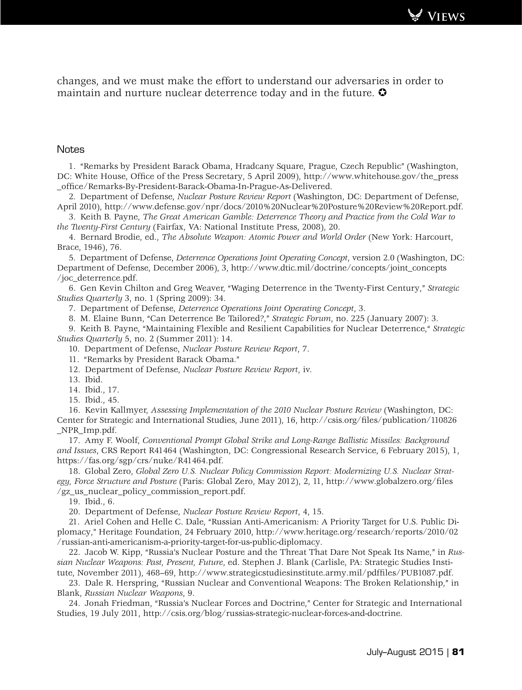**Views**

changes, and we must make the effort to understand our adversaries in order to maintain and nurture nuclear deterrence today and in the future.  $\bullet$ 

#### **Notes**

1. "Remarks by President Barack Obama, Hradcany Square, Prague, Czech Republic" (Washington, DC: White House, Office of the Press Secretary, 5 April 2009), http://www.whitehouse.gov/the\_press \_office/Remarks-By-President-Barack-Obama-In-Prague-As-Delivered.

2. Department of Defense, *Nuclear Posture Review Report* (Washington, DC: Department of Defense, April 2010), http://www.defense.gov/npr/docs/2010%20Nuclear%20Posture%20Review%20Report.pdf.

3. Keith B. Payne, *The Great American Gamble: Deterrence Theory and Practice from the Cold War to the Twenty-First Century* (Fairfax, VA: National Institute Press, 2008), 20.

4. Bernard Brodie, ed., *The Absolute Weapon: Atomic Power and World Order* (New York: Harcourt, Brace, 1946), 76.

5. Department of Defense, *Deterrence Operations Joint Operating Concept*, version 2.0 (Washington, DC: Department of Defense, December 2006), 3, http://www.dtic.mil/doctrine/concepts/joint\_concepts /joc\_deterrence.pdf.

6. Gen Kevin Chilton and Greg Weaver, "Waging Deterrence in the Twenty-First Century," *Strategic Studies Quarterly* 3, no. 1 (Spring 2009): 34.

7. Department of Defense, *Deterrence Operations Joint Operating Concept*, 3.

8. M. Elaine Bunn, "Can Deterrence Be Tailored?," *Strategic Forum*, no. 225 (January 2007): 3.

9. Keith B. Payne, "Maintaining Flexible and Resilient Capabilities for Nuclear Deterrence," *Strategic Studies Quarterly* 5, no. 2 (Summer 2011): 14.

10. Department of Defense, *Nuclear Posture Review Report*, 7.

11. "Remarks by President Barack Obama."

12. Department of Defense, *Nuclear Posture Review Report*, iv.

13. Ibid.

14. Ibid., 17.

15. Ibid., 45.

16. Kevin Kallmyer, *Assessing Implementation of the 2010 Nuclear Posture Review* (Washington, DC: Center for Strategic and International Studies, June 2011), 16, http://csis.org/files/publication/110826 \_NPR\_Imp.pdf.

17. Amy F. Woolf, *Conventional Prompt Global Strike and Long-Range Ballistic Missiles: Background and Issues*, CRS Report R41464 (Washington, DC: Congressional Research Service, 6 February 2015), 1, https://fas.org/sgp/crs/nuke/R41464.pdf.

18. Global Zero, *Global Zero U.S. Nuclear Policy Commission Report: Modernizing U.S. Nuclear Strategy, Force Structure and Posture* (Paris: Global Zero, May 2012), 2, 11, http://www.globalzero.org/files /gz\_us\_nuclear\_policy\_commission\_report.pdf.

19. Ibid., 6.

20. Department of Defense, *Nuclear Posture Review Report*, 4, 15.

21. Ariel Cohen and Helle C. Dale, "Russian Anti-Americanism: A Priority Target for U.S. Public Diplomacy," Heritage Foundation, 24 February 2010, http://www.heritage.org/research/reports/2010/02 /russian-anti-americanism-a-priority-target-for-us-public-diplomacy.

22. Jacob W. Kipp, "Russia's Nuclear Posture and the Threat That Dare Not Speak Its Name," in *Russian Nuclear Weapons: Past, Present, Future*, ed. Stephen J. Blank (Carlisle, PA: Strategic Studies Institute, November 2011), 468–69, http://www.strategicstudiesinstitute.army.mil/pdffiles/PUB1087.pdf.

23. Dale R. Herspring, "Russian Nuclear and Conventional Weapons: The Broken Relationship," in Blank, *Russian Nuclear Weapons*, 9.

24. Jonah Friedman, "Russia's Nuclear Forces and Doctrine," Center for Strategic and International Studies, 19 July 2011, http://csis.org/blog/russias-strategic-nuclear-forces-and-doctrine.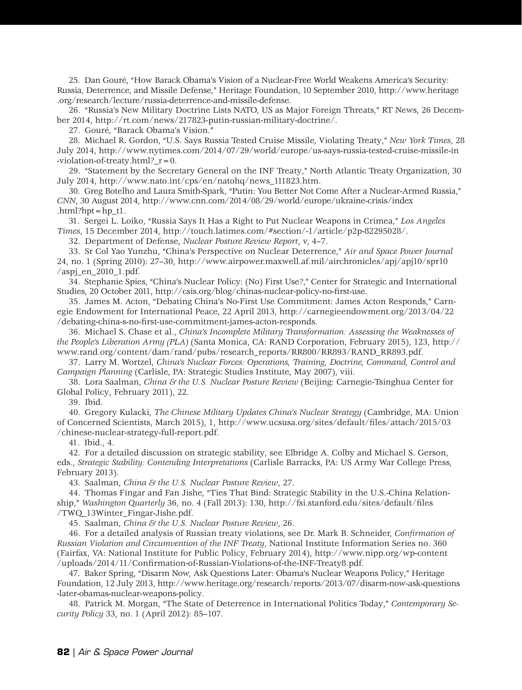25. Dan Gouré, "How Barack Obama's Vision of a Nuclear-Free World Weakens America's Security: Russia, Deterrence, and Missile Defense," Heritage Foundation, 10 September 2010, http://www.heritage .org/research/lecture/russia-deterrence-and-missile-defense.

26. "Russia's New Military Doctrine Lists NATO, US as Major Foreign Threats," RT News, 26 December 2014, http://rt.com/news/217823-putin-russian-military-doctrine/.

27. Gouré, "Barack Obama's Vision."

28. Michael R. Gordon, "U.S. Says Russia Tested Cruise Missile, Violating Treaty," *New York Times*, 28 July 2014, http://www.nytimes.com/2014/07/29/world/europe/us-says-russia-tested-cruise-missile-in -violation-of-treaty.html?  $r=0$ .

29. "Statement by the Secretary General on the INF Treaty," North Atlantic Treaty Organization, 30 July 2014, http://www.nato.int/cps/en/natohq/news\_111823.htm.

30. Greg Botelho and Laura Smith-Spark, "Putin: You Better Not Come After a Nuclear-Armed Russia," *CNN*, 30 August 2014, http://www.cnn.com/2014/08/29/world/europe/ukraine-crisis/index .html?hpt= $hp_t1$ .

31. Sergei L. Loiko, "Russia Says It Has a Right to Put Nuclear Weapons in Crimea," *Los Angeles Times*, 15 December 2014, http://touch.latimes.com/#section/-1/article/p2p-82295028/.

32. Department of Defense, *Nuclear Posture Review Report*, v, 4–7.

33. Sr Col Yao Yunzhu, "China's Perspective on Nuclear Deterrence," *Air and Space Power Journal* 24, no. 1 (Spring 2010): 27–30, http://www.airpower.maxwell.af.mil/airchronicles/apj/apj10/spr10  $/$ aspj\_en\_2010\_1.pdf.

34. Stephanie Spies, "China's Nuclear Policy: (No) First Use?," Center for Strategic and International Studies, 20 October 2011, http://csis.org/blog/chinas-nuclear-policy-no-first-use.

35. James M. Acton, "Debating China's No-First Use Commitment: James Acton Responds," Carnegie Endowment for International Peace, 22 April 2013, http://carnegieendowment.org/2013/04/22 /debating-china-s-no-first-use-commitment-james-acton-responds.

36. Michael S. Chase et al., *China's Incomplete Military Transformation: Assessing the Weaknesses of the People's Liberation Army (PLA)* (Santa Monica, CA: RAND Corporation, February 2015), 123, http:// www.rand.org/content/dam/rand/pubs/research\_reports/RR800/RR893/RAND\_RR893.pdf.

37. Larry M. Wortzel, *China's Nuclear Forces: Operations, Training, Doctrine, Command, Control and Campaign Planning* (Carlisle, PA: Strategic Studies Institute, May 2007), viii.

38. Lora Saalman, *China & the U.S. Nuclear Posture Review* (Beijing: Carnegie-Tsinghua Center for Global Policy, February 2011), 22.

39. Ibid.

40. Gregory Kulacki, *The Chinese Military Updates China's Nuclear Strategy* (Cambridge, MA: Union of Concerned Scientists, March 2015), 1, http://www.ucsusa.org/sites/default/files/attach/2015/03 /chinese-nuclear-strategy-full-report.pdf.

41. Ibid., 4.

42. For a detailed discussion on strategic stability, see Elbridge A. Colby and Michael S. Gerson, eds., *Strategic Stability: Contending Interpretations* (Carlisle Barracks, PA: US Army War College Press, February 2013).

43. Saalman, *China & the U.S. Nuclear Posture Review*, 27.

44. Thomas Fingar and Fan Jishe, "Ties That Bind: Strategic Stability in the U.S.-China Relationship," *Washington Quarterly* 36, no. 4 (Fall 2013): 130, http://fsi.stanford.edu/sites/default/files /TWQ\_13Winter\_Fingar-Jishe.pdf.

45. Saalman, *China & the U.S. Nuclear Posture Review*, 26.

46. For a detailed analysis of Russian treaty violations, see Dr. Mark B. Schneider, *Confirmation of Russian Violation and Circumvention of the INF Treaty*, National Institute Information Series no. 360 (Fairfax, VA: National Institute for Public Policy, February 2014), http://www.nipp.org/wp-content /uploads/2014/11/Confirmation-of-Russian-Violations-of-the-INF-Treaty8.pdf.

47. Baker Spring, "Disarm Now, Ask Questions Later: Obama's Nuclear Weapons Policy," Heritage Foundation, 12 July 2013, http://www.heritage.org/research/reports/2013/07/disarm-now-ask-questions -later-obamas-nuclear-weapons-policy.

48. Patrick M. Morgan, "The State of Deterrence in International Politics Today," *Contemporary Security Policy* 33, no. 1 (April 2012): 85–107.